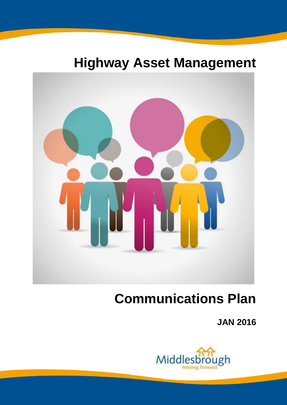## **Highway Asset Management**



# **Communications Plan**

**JAN 2016**

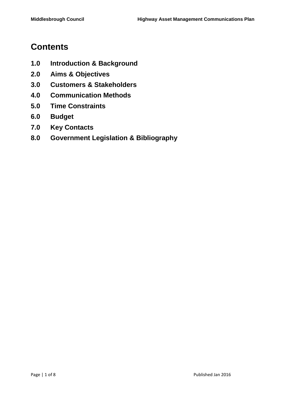## **Contents**

- **1.0 Introduction & Background**
- **2.0 Aims & Objectives**
- **3.0 Customers & Stakeholders**
- **4.0 Communication Methods**
- **5.0 Time Constraints**
- **6.0 Budget**
- **7.0 Key Contacts**
- **8.0 Government Legislation & Bibliography**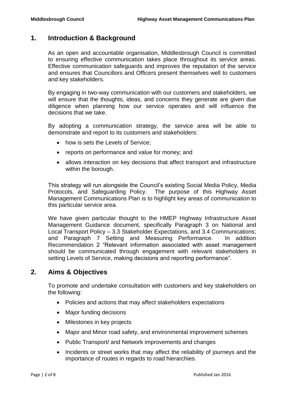## **1. Introduction & Background**

As an open and accountable organisation, Middlesbrough Council is committed to ensuring effective communication takes place throughout its service areas. Effective communication safeguards and improves the reputation of the service and ensures that Councillors and Officers present themselves well to customers and key stakeholders.

By engaging in two-way communication with our customers and stakeholders, we will ensure that the thoughts, ideas, and concerns they generate are given due diligence when planning how our service operates and will influence the decisions that we take.

By adopting a communication strategy, the service area will be able to demonstrate and report to its customers and stakeholders:

- how is sets the Levels of Service;
- reports on performance and value for money; and
- allows interaction on key decisions that affect transport and infrastructure within the borough.

This strategy will run alongside the Council's existing Social Media Policy, Media Protocols, and Safeguarding Policy. The purpose of this Highway Asset Management Communications Plan is to highlight key areas of communication to this particular service area.

We have given particular thought to the HMEP Highway Infrastructure Asset Management Guidance document, specifically Paragraph 3 on National and Local Transport Policy – 3.3 Stakeholder Expectations, and 3.4 Communications; and Paragraph 7 Setting and Measuring Performance. In addition Recommendation 2 "Relevant information associated with asset management should be communicated through engagement with relevant stakeholders in setting Levels of Service, making decisions and reporting performance".

### **2. Aims & Objectives**

To promote and undertake consultation with customers and key stakeholders on the following:

- Policies and actions that may affect stakeholders expectations
- Major funding decisions
- Milestones in key projects
- Major and Minor road safety, and environmental improvement schemes
- Public Transport/ and Network improvements and changes
- Incidents or street works that may affect the reliability of journeys and the importance of routes in regards to road hierarchies.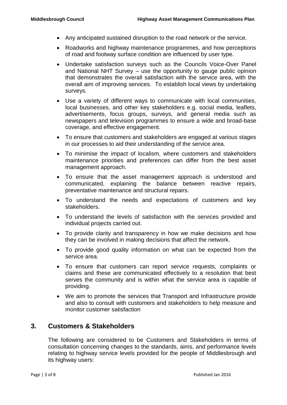- Any anticipated sustained disruption to the road network or the service.
- Roadworks and highway maintenance programmes, and how perceptions of road and footway surface condition are influenced by user type.
- Undertake satisfaction surveys such as the Councils Voice-Over Panel and National NHT Survey – use the opportunity to gauge public opinion that demonstrates the overall satisfaction with the service area, with the overall aim of improving services. To establish local views by undertaking surveys.
- Use a variety of different ways to communicate with local communities, local businesses, and other key stakeholders e.g. social media, leaflets, advertisements, focus groups, surveys, and general media such as newspapers and television programmes to ensure a wide and broad-base coverage, and effective engagement.
- To ensure that customers and stakeholders are engaged at various stages in our processes to aid their understanding of the service area.
- To minimise the impact of localism, where customers and stakeholders maintenance priorities and preferences can differ from the best asset management approach.
- To ensure that the asset management approach is understood and communicated, explaining the balance between reactive repairs, preventative maintenance and structural repairs.
- To understand the needs and expectations of customers and key stakeholders.
- To understand the levels of satisfaction with the services provided and individual projects carried out.
- To provide clarity and transparency in how we make decisions and how they can be involved in making decisions that affect the network.
- To provide good quality information on what can be expected from the service area.
- To ensure that customers can report service requests, complaints or claims and these are communicated effectively to a resolution that best serves the community and is within what the service area is capable of providing.
- We aim to promote the services that Transport and Infrastructure provide and also to consult with customers and stakeholders to help measure and monitor customer satisfaction

#### **3. Customers & Stakeholders**

The following are considered to be Customers and Stakeholders in terms of consultation concerning changes to the standards, aims, and performance levels relating to highway service levels provided for the people of Middlesbrough and its highway users: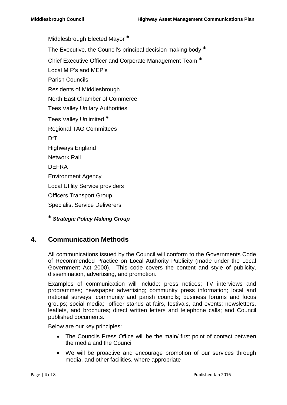Middlesbrough Elected Mayor **\*** The Executive, the Council's principal decision making body **\*** Chief Executive Officer and Corporate Management Team **\*** Local M P's and MEP's Parish Councils Residents of Middlesbrough North East Chamber of Commerce Tees Valley Unitary Authorities Tees Valley Unlimited **\*** Regional TAG Committees DfT Highways England Network Rail DEFRA Environment Agency Local Utility Service providers Officers Transport Group Specialist Service Deliverers **\*** *Strategic Policy Making Group*

## **4. Communication Methods**

All communications issued by the Council will conform to the Governments Code of Recommended Practice on Local Authority Publicity (made under the Local Government Act 2000). This code covers the content and style of publicity, dissemination, advertising, and promotion.

Examples of communication will include: press notices; TV interviews and programmes; newspaper advertising; community press information; local and national surveys; community and parish councils; business forums and focus groups; social media; officer stands at fairs, festivals, and events; newsletters, leaflets, and brochures; direct written letters and telephone calls; and Council published documents.

Below are our key principles:

- The Councils Press Office will be the main/ first point of contact between the media and the Council
- We will be proactive and encourage promotion of our services through media, and other facilities, where appropriate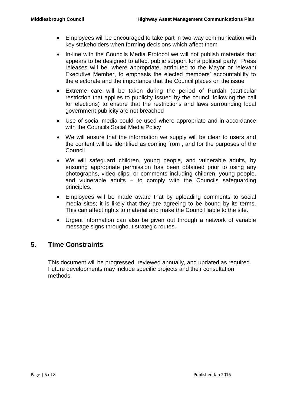- Employees will be encouraged to take part in two-way communication with key stakeholders when forming decisions which affect them
- In-line with the Councils Media Protocol we will not publish materials that appears to be designed to affect public support for a political party. Press releases will be, where appropriate, attributed to the Mayor or relevant Executive Member, to emphasis the elected members' accountability to the electorate and the importance that the Council places on the issue
- Extreme care will be taken during the period of Purdah (particular restriction that applies to publicity issued by the council following the call for elections) to ensure that the restrictions and laws surrounding local government publicity are not breached
- Use of social media could be used where appropriate and in accordance with the Councils Social Media Policy
- We will ensure that the information we supply will be clear to users and the content will be identified as coming from , and for the purposes of the **Council**
- We will safeguard children, young people, and vulnerable adults, by ensuring appropriate permission has been obtained prior to using any photographs, video clips, or comments including children, young people, and vulnerable adults – to comply with the Councils safeguarding principles.
- Employees will be made aware that by uploading comments to social media sites; it is likely that they are agreeing to be bound by its terms. This can affect rights to material and make the Council liable to the site.
- Urgent information can also be given out through a network of variable message signs throughout strategic routes.

## **5. Time Constraints**

This document will be progressed, reviewed annually, and updated as required. Future developments may include specific projects and their consultation methods.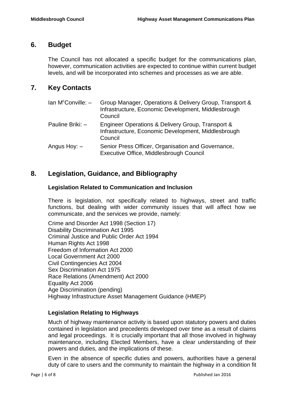### **6. Budget**

The Council has not allocated a specific budget for the communications plan, however, communication activities are expected to continue within current budget levels, and will be incorporated into schemes and processes as we are able.

## **7. Key Contacts**

| $\text{lan } \mathsf{M}^c$ Conville: $-$ | Group Manager, Operations & Delivery Group, Transport &<br>Infrastructure, Economic Development, Middlesbrough<br>Council |
|------------------------------------------|---------------------------------------------------------------------------------------------------------------------------|
| Pauline Briki: -                         | Engineer Operations & Delivery Group, Transport &<br>Infrastructure, Economic Development, Middlesbrough<br>Council       |
| Angus Hoy: –                             | Senior Press Officer, Organisation and Governance,<br>Executive Office, Middlesbrough Council                             |

## **8. Legislation, Guidance, and Bibliography**

#### **Legislation Related to Communication and Inclusion**

There is legislation, not specifically related to highways, street and traffic functions, but dealing with wider community issues that will affect how we communicate, and the services we provide, namely:

Crime and Disorder Act 1998 (Section 17) Disability Discrimination Act 1995 Criminal Justice and Public Order Act 1994 Human Rights Act 1998 Freedom of Information Act 2000 Local Government Act 2000 Civil Contingencies Act 2004 Sex Discrimination Act 1975 Race Relations (Amendment) Act 2000 Equality Act 2006 Age Discrimination (pending) Highway Infrastructure Asset Management Guidance (HMEP)

#### **Legislation Relating to Highways**

Much of highway maintenance activity is based upon statutory powers and duties contained in legislation and precedents developed over time as a result of claims and legal proceedings. It is crucially important that all those involved in highway maintenance, including Elected Members, have a clear understanding of their powers and duties, and the implications of these.

Even in the absence of specific duties and powers, authorities have a general duty of care to users and the community to maintain the highway in a condition fit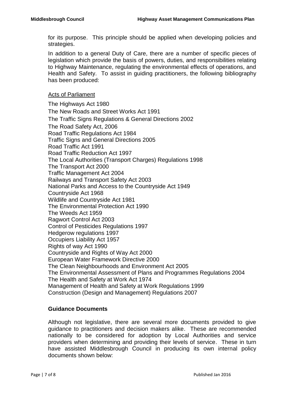for its purpose. This principle should be applied when developing policies and strategies.

In addition to a general Duty of Care, there are a number of specific pieces of legislation which provide the basis of powers, duties, and responsibilities relating to Highway Maintenance, regulating the environmental effects of operations, and Health and Safety. To assist in guiding practitioners, the following bibliography has been produced:

#### Acts of Parliament

The Highways Act 1980 The New Roads and Street Works Act 1991 The Traffic Signs Regulations & General Directions 2002 The Road Safety Act, 2006 Road Traffic Regulations Act 1984 Traffic Signs and General Directions 2005 Road Traffic Act 1991 Road Traffic Reduction Act 1997 The Local Authorities (Transport Charges) Regulations 1998 The Transport Act 2000 Traffic Management Act 2004 Railways and Transport Safety Act 2003 National Parks and Access to the Countryside Act 1949 Countryside Act 1968 Wildlife and Countryside Act 1981 The Environmental Protection Act 1990 The Weeds Act 1959 Ragwort Control Act 2003 Control of Pesticides Regulations 1997 Hedgerow regulations 1997 Occupiers Liability Act 1957 Rights of way Act 1990 Countryside and Rights of Way Act 2000 European Water Framework Directive 2000 The Clean Neighbourhoods and Environment Act 2005 The Environmental Assessment of Plans and Programmes Regulations 2004 The Health and Safety at Work Act 1974 Management of Health and Safety at Work Regulations 1999 Construction (Design and Management) Regulations 2007

#### **Guidance Documents**

Although not legislative, there are several more documents provided to give guidance to practitioners and decision makers alike. These are recommended nationally to be considered for adoption by Local Authorities and service providers when determining and providing their levels of service. These in turn have assisted Middlesbrough Council in producing its own internal policy documents shown below: